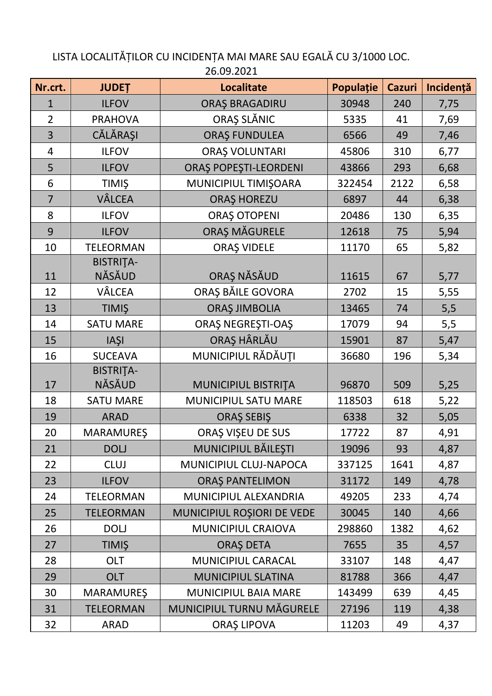## LISTA LOCALITĂȚILOR CU INCIDENȚA MAI MARE SAU EGALĂ CU 3/1000 LOC.

| Nr.crt.        | <b>JUDET</b>               | <b>Localitate</b>           | Populație | <b>Cazuri</b> | Incidență |
|----------------|----------------------------|-----------------------------|-----------|---------------|-----------|
| $\mathbf{1}$   | <b>ILFOV</b>               | ORAȘ BRAGADIRU              | 30948     | 240           | 7,75      |
| $\overline{2}$ | <b>PRAHOVA</b>             | ORAȘ SLĂNIC                 | 5335      | 41            | 7,69      |
| 3              | CĂLĂRAȘI                   | <b>ORAȘ FUNDULEA</b>        | 6566      | 49            | 7,46      |
| 4              | <b>ILFOV</b>               | <b>ORAȘ VOLUNTARI</b>       | 45806     | 310           | 6,77      |
| 5              | <b>ILFOV</b>               | ORAȘ POPEȘTI-LEORDENI       | 43866     | 293           | 6,68      |
| 6              | <b>TIMIŞ</b>               | MUNICIPIUL TIMIȘOARA        | 322454    | 2122          | 6,58      |
| $\overline{7}$ | VÂLCEA                     | <b>ORAŞ HOREZU</b>          | 6897      | 44            | 6,38      |
| 8              | <b>ILFOV</b>               | <b>ORAŞ OTOPENI</b>         | 20486     | 130           | 6,35      |
| 9              | <b>ILFOV</b>               | ORAȘ MĂGURELE               | 12618     | 75            | 5,94      |
| 10             | <b>TELEORMAN</b>           | ORAȘ VIDELE                 | 11170     | 65            | 5,82      |
| 11             | <b>BISTRITA-</b><br>NĂSĂUD | ORAȘ NĂSĂUD                 | 11615     | 67            | 5,77      |
| 12             | VÂLCEA                     | ORAȘ BĂILE GOVORA           | 2702      | 15            | 5,55      |
| 13             | <b>TIMIŞ</b>               | <b>ORAȘ JIMBOLIA</b>        | 13465     | 74            | 5,5       |
| 14             | <b>SATU MARE</b>           | ORAȘ NEGREȘTI-OAȘ           | 17079     | 94            | 5,5       |
| 15             | <b>IAŞI</b>                | ORAȘ HÂRLĂU                 | 15901     | 87            | 5,47      |
| 16             | <b>SUCEAVA</b>             | MUNICIPIUL RĂDĂUȚI          | 36680     | 196           | 5,34      |
|                | <b>BISTRITA-</b>           |                             |           |               |           |
| 17             | NĂSĂUD                     | MUNICIPIUL BISTRIȚA         | 96870     | 509           | 5,25      |
| 18             | <b>SATU MARE</b>           | MUNICIPIUL SATU MARE        | 118503    | 618           | 5,22      |
| 19             | <b>ARAD</b>                | ORAŞ SEBIŞ                  | 6338      | 32            | 5,05      |
| 20             | <b>MARAMUREŞ</b>           | ORAȘ VIȘEU DE SUS           | 17722     | 87            | 4,91      |
| 21             | <b>DOLJ</b>                | MUNICIPIUL BĂILEȘTI         | 19096     | 93            | 4,87      |
| 22             | <b>CLUJ</b>                | MUNICIPIUL CLUJ-NAPOCA      | 337125    | 1641          | 4,87      |
| 23             | <b>ILFOV</b>               | <b>ORAȘ PANTELIMON</b>      | 31172     | 149           | 4,78      |
| 24             | <b>TELEORMAN</b>           | MUNICIPIUL ALEXANDRIA       | 49205     | 233           | 4,74      |
| 25             | <b>TELEORMAN</b>           | MUNICIPIUL ROȘIORI DE VEDE  | 30045     | 140           | 4,66      |
| 26             | <b>DOLJ</b>                | MUNICIPIUL CRAIOVA          | 298860    | 1382          | 4,62      |
| 27             | <b>TIMIŞ</b>               | <b>ORAȘ DETA</b>            | 7655      | 35            | 4,57      |
| 28             | <b>OLT</b>                 | MUNICIPIUL CARACAL          | 33107     | 148           | 4,47      |
| 29             | <b>OLT</b>                 | <b>MUNICIPIUL SLATINA</b>   | 81788     | 366           | 4,47      |
| 30             | <b>MARAMUREŞ</b>           | <b>MUNICIPIUL BAIA MARE</b> | 143499    | 639           | 4,45      |
| 31             | <b>TELEORMAN</b>           | MUNICIPIUL TURNU MĂGURELE   | 27196     | 119           | 4,38      |
| 32             | ARAD                       | ORAȘ LIPOVA                 | 11203     | 49            | 4,37      |

26.09.2021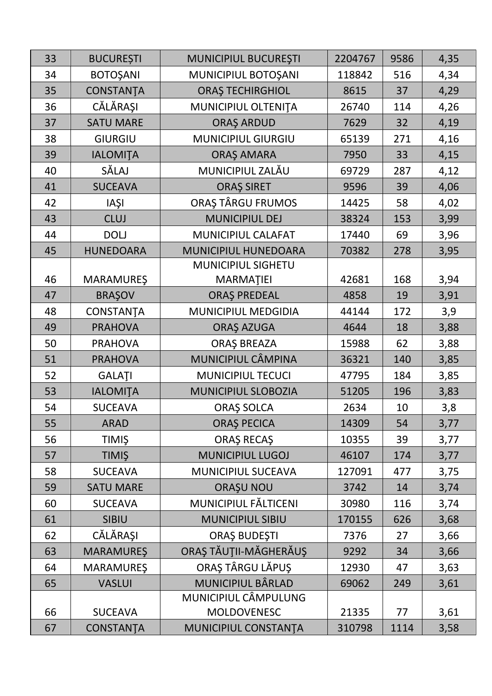| 33 | <b>BUCUREȘTI</b> | <b>MUNICIPIUL BUCUREȘTI</b> | 2204767 | 9586 | 4,35 |
|----|------------------|-----------------------------|---------|------|------|
| 34 | <b>BOTOŞANI</b>  | MUNICIPIUL BOTOŞANI         | 118842  | 516  | 4,34 |
| 35 | CONSTANTA        | <b>ORAȘ TECHIRGHIOL</b>     | 8615    | 37   | 4,29 |
| 36 | CĂLĂRAȘI         | MUNICIPIUL OLTENITA         | 26740   | 114  | 4,26 |
| 37 | <b>SATU MARE</b> | <b>ORAŞ ARDUD</b>           | 7629    | 32   | 4,19 |
| 38 | <b>GIURGIU</b>   | <b>MUNICIPIUL GIURGIU</b>   | 65139   | 271  | 4,16 |
| 39 | <b>IALOMITA</b>  | ORAŞ AMARA                  | 7950    | 33   | 4,15 |
| 40 | SĂLAJ            | MUNICIPIUL ZALĂU            | 69729   | 287  | 4,12 |
| 41 | <b>SUCEAVA</b>   | <b>ORAŞ SIRET</b>           | 9596    | 39   | 4,06 |
| 42 | <b>IASI</b>      | ORAȘ TÂRGU FRUMOS           | 14425   | 58   | 4,02 |
| 43 | <b>CLUJ</b>      | <b>MUNICIPIUL DEJ</b>       | 38324   | 153  | 3,99 |
| 44 | <b>DOLJ</b>      | MUNICIPIUL CALAFAT          | 17440   | 69   | 3,96 |
| 45 | <b>HUNEDOARA</b> | MUNICIPIUL HUNEDOARA        | 70382   | 278  | 3,95 |
|    |                  | <b>MUNICIPIUL SIGHETU</b>   |         |      |      |
| 46 | <b>MARAMUREŞ</b> | <b>MARMATIEI</b>            | 42681   | 168  | 3,94 |
| 47 | <b>BRAŞOV</b>    | <b>ORAŞ PREDEAL</b>         | 4858    | 19   | 3,91 |
| 48 | <b>CONSTANTA</b> | MUNICIPIUL MEDGIDIA         | 44144   | 172  | 3,9  |
| 49 | <b>PRAHOVA</b>   | <b>ORAŞ AZUGA</b>           | 4644    | 18   | 3,88 |
| 50 | <b>PRAHOVA</b>   | <b>ORAŞ BREAZA</b>          | 15988   | 62   | 3,88 |
| 51 | <b>PRAHOVA</b>   | MUNICIPIUL CÂMPINA          | 36321   | 140  | 3,85 |
| 52 | GALATI           | <b>MUNICIPIUL TECUCI</b>    | 47795   | 184  | 3,85 |
| 53 | <b>IALOMITA</b>  | MUNICIPIUL SLOBOZIA         | 51205   | 196  | 3,83 |
| 54 | <b>SUCEAVA</b>   | ORAŞ SOLCA                  | 2634    | 10   | 3,8  |
| 55 | <b>ARAD</b>      | <b>ORAȘ PECICA</b>          | 14309   | 54   | 3,77 |
| 56 | TIMIŞ            | <b>ORAŞ RECAŞ</b>           | 10355   | 39   | 3,77 |
| 57 | <b>TIMIŞ</b>     | <b>MUNICIPIUL LUGOJ</b>     | 46107   | 174  | 3,77 |
| 58 | <b>SUCEAVA</b>   | MUNICIPIUL SUCEAVA          | 127091  | 477  | 3,75 |
| 59 | <b>SATU MARE</b> | <b>ORAȘU NOU</b>            | 3742    | 14   | 3,74 |
| 60 | <b>SUCEAVA</b>   | MUNICIPIUL FĂLTICENI        | 30980   | 116  | 3,74 |
| 61 | <b>SIBIU</b>     | <b>MUNICIPIUL SIBIU</b>     | 170155  | 626  | 3,68 |
| 62 | CĂLĂRAȘI         | ORAȘ BUDEȘTI                | 7376    | 27   | 3,66 |
| 63 | <b>MARAMUREŞ</b> | ORAȘ TĂUȚII-MĂGHERĂUȘ       | 9292    | 34   | 3,66 |
| 64 | <b>MARAMUREŞ</b> | ORAȘ TÂRGU LĂPUȘ            | 12930   | 47   | 3,63 |
| 65 | <b>VASLUI</b>    | <b>MUNICIPIUL BÂRLAD</b>    | 69062   | 249  | 3,61 |
|    |                  | MUNICIPIUL CÂMPULUNG        |         |      |      |
| 66 | <b>SUCEAVA</b>   | <b>MOLDOVENESC</b>          | 21335   | 77   | 3,61 |
| 67 | CONSTANTA        | MUNICIPIUL CONSTANTA        | 310798  | 1114 | 3,58 |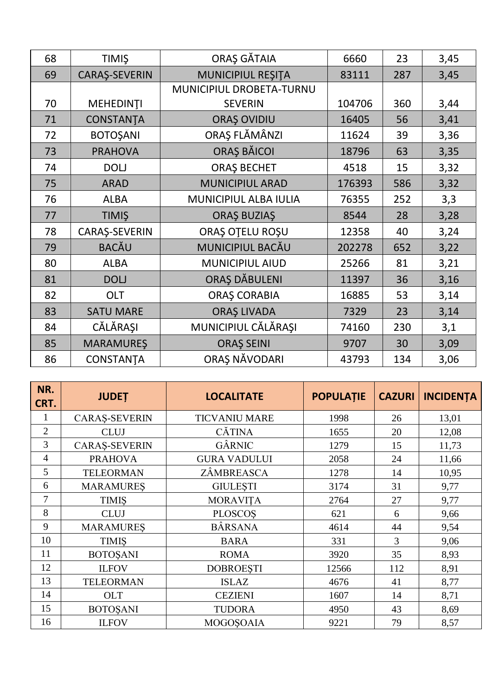| 68 | <b>TIMIŞ</b>         | ORAȘ GĂTAIA              | 6660   | 23  | 3,45 |
|----|----------------------|--------------------------|--------|-----|------|
| 69 | <b>CARAŞ-SEVERIN</b> | <b>MUNICIPIUL RESITA</b> | 83111  | 287 | 3,45 |
|    |                      | MUNICIPIUL DROBETA-TURNU |        |     |      |
| 70 | MEHEDINȚI            | <b>SEVERIN</b>           | 104706 | 360 | 3,44 |
| 71 | <b>CONSTANTA</b>     | <b>ORAȘ OVIDIU</b>       | 16405  | 56  | 3,41 |
| 72 | <b>BOTOŞANI</b>      | ORAȘ FLĂMÂNZI            | 11624  | 39  | 3,36 |
| 73 | <b>PRAHOVA</b>       | <b>ORAȘ BĂICOI</b>       | 18796  | 63  | 3,35 |
| 74 | <b>DOLJ</b>          | <b>ORAȘ BECHET</b>       | 4518   | 15  | 3,32 |
| 75 | <b>ARAD</b>          | <b>MUNICIPIUL ARAD</b>   | 176393 | 586 | 3,32 |
| 76 | <b>ALBA</b>          | MUNICIPIUL ALBA IULIA    | 76355  | 252 | 3,3  |
| 77 | <b>TIMIŞ</b>         | <b>ORAȘ BUZIAȘ</b>       | 8544   | 28  | 3,28 |
| 78 | CARAŞ-SEVERIN        | ORAȘ OTELU ROȘU          | 12358  | 40  | 3,24 |
| 79 | <b>BACĂU</b>         | MUNICIPIUL BACĂU         | 202278 | 652 | 3,22 |
| 80 | <b>ALBA</b>          | <b>MUNICIPIUL AIUD</b>   | 25266  | 81  | 3,21 |
| 81 | <b>DOLJ</b>          | ORAȘ DĂBULENI            | 11397  | 36  | 3,16 |
| 82 | <b>OLT</b>           | <b>ORAȘ CORABIA</b>      | 16885  | 53  | 3,14 |
| 83 | <b>SATU MARE</b>     | <b>ORAȘ LIVADA</b>       | 7329   | 23  | 3,14 |
| 84 | CĂLĂRAȘI             | MUNICIPIUL CĂLĂRAȘI      | 74160  | 230 | 3,1  |
| 85 | <b>MARAMUREŞ</b>     | <b>ORAȘ SEINI</b>        | 9707   | 30  | 3,09 |
| 86 | <b>CONSTANTA</b>     | ORAȘ NĂVODARI            | 43793  | 134 | 3,06 |

| NR.<br>CRT.    | <b>JUDET</b>         | <b>LOCALITATE</b>    | <b>POPULATIE</b> | <b>CAZURI</b> | <b>INCIDENTA</b> |
|----------------|----------------------|----------------------|------------------|---------------|------------------|
| 1              | <b>CARAŞ-SEVERIN</b> | <b>TICVANIU MARE</b> | 1998             | 26            | 13,01            |
| $\overline{2}$ | <b>CLUJ</b>          | <b>CĂTINA</b>        | 1655             | 20            | 12,08            |
| 3              | <b>CARAŞ-SEVERIN</b> | GÂRNIC               | 1279             | 15            | 11,73            |
| $\overline{4}$ | <b>PRAHOVA</b>       | <b>GURA VADULUI</b>  | 2058             | 24            | 11,66            |
| 5              | <b>TELEORMAN</b>     | ZÂMBREASCA           | 1278             | 14            | 10,95            |
| 6              | <b>MARAMURES</b>     | <b>GIULEȘTI</b>      | 3174             | 31            | 9,77             |
| $\overline{7}$ | <b>TIMIS</b>         | <b>MORAVITA</b>      | 2764             | 27            | 9,77             |
| 8              | <b>CLUJ</b>          | <b>PLOSCOS</b>       | 621              | 6             | 9,66             |
| 9              | <b>MARAMURES</b>     | <b>BÂRSANA</b>       | 4614             | 44            | 9,54             |
| 10             | <b>TIMIS</b>         | <b>BARA</b>          | 331              | 3             | 9,06             |
| 11             | <b>BOTOŞANI</b>      | <b>ROMA</b>          | 3920             | 35            | 8,93             |
| 12             | <b>ILFOV</b>         | <b>DOBROESTI</b>     | 12566            | 112           | 8,91             |
| 13             | <b>TELEORMAN</b>     | <b>ISLAZ</b>         | 4676             | 41            | 8,77             |
| 14             | <b>OLT</b>           | <b>CEZIENI</b>       | 1607             | 14            | 8,71             |
| 15             | <b>BOTOŞANI</b>      | <b>TUDORA</b>        | 4950             | 43            | 8,69             |
| 16             | <b>ILFOV</b>         | <b>MOGOSOAIA</b>     | 9221             | 79            | 8,57             |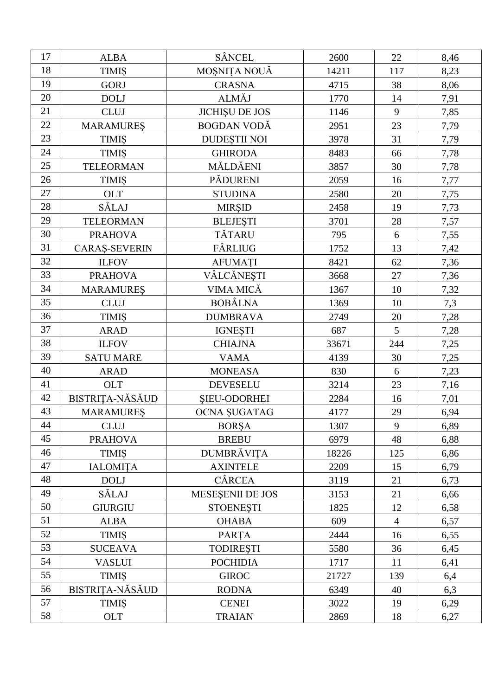| 17 | <b>ALBA</b>          | SÂNCEL                | 2600  | 22             | 8,46 |
|----|----------------------|-----------------------|-------|----------------|------|
| 18 | <b>TIMIS</b>         | MOȘNIȚA NOUĂ          | 14211 | 117            | 8,23 |
| 19 | <b>GORJ</b>          | <b>CRASNA</b>         | 4715  | 38             | 8,06 |
| 20 | <b>DOLJ</b>          | ALMĂJ                 | 1770  | 14             | 7,91 |
| 21 | <b>CLUJ</b>          | <b>JICHIȘU DE JOS</b> | 1146  | 9              | 7,85 |
| 22 | <b>MARAMUREŞ</b>     | <b>BOGDAN VODĂ</b>    | 2951  | 23             | 7,79 |
| 23 | <b>TIMIS</b>         | <b>DUDESTII NOI</b>   | 3978  | 31             | 7,79 |
| 24 | <b>TIMIŞ</b>         | <b>GHIRODA</b>        | 8483  | 66             | 7,78 |
| 25 | <b>TELEORMAN</b>     | MĂLDĂENI              | 3857  | 30             | 7,78 |
| 26 | <b>TIMIŞ</b>         | <b>PĂDURENI</b>       | 2059  | 16             | 7,77 |
| 27 | OLT                  | <b>STUDINA</b>        | 2580  | 20             | 7,75 |
| 28 | SĂLAJ                | <b>MIRŞID</b>         | 2458  | 19             | 7,73 |
| 29 | <b>TELEORMAN</b>     | <b>BLEJEŞTI</b>       | 3701  | 28             | 7,57 |
| 30 | <b>PRAHOVA</b>       | <b>TĂTARU</b>         | 795   | 6              | 7,55 |
| 31 | <b>CARAŞ-SEVERIN</b> | FÂRLIUG               | 1752  | 13             | 7,42 |
| 32 | <b>ILFOV</b>         | <b>AFUMATI</b>        | 8421  | 62             | 7,36 |
| 33 | <b>PRAHOVA</b>       | VÂLCĂNEȘTI            | 3668  | 27             | 7,36 |
| 34 | <b>MARAMURES</b>     | VIMA MICĂ             | 1367  | 10             | 7,32 |
| 35 | <b>CLUJ</b>          | <b>BOBÂLNA</b>        | 1369  | 10             | 7,3  |
| 36 | <b>TIMIS</b>         | <b>DUMBRAVA</b>       | 2749  | 20             | 7,28 |
| 37 | <b>ARAD</b>          | <b>IGNEȘTI</b>        | 687   | 5              | 7,28 |
| 38 | <b>ILFOV</b>         | <b>CHIAJNA</b>        | 33671 | 244            | 7,25 |
| 39 | <b>SATU MARE</b>     | <b>VAMA</b>           | 4139  | 30             | 7,25 |
| 40 | <b>ARAD</b>          | <b>MONEASA</b>        | 830   | 6              | 7,23 |
| 41 | <b>OLT</b>           | <b>DEVESELU</b>       | 3214  | 23             | 7,16 |
| 42 | BISTRIȚA-NĂSĂUD      | <b>ŞIEU-ODORHEI</b>   | 2284  | 16             | 7,01 |
| 43 | <b>MARAMURES</b>     | <b>OCNA SUGATAG</b>   | 4177  | 29             | 6,94 |
| 44 | <b>CLUJ</b>          | <b>BORŞA</b>          | 1307  | 9              | 6,89 |
| 45 | <b>PRAHOVA</b>       | <b>BREBU</b>          | 6979  | 48             | 6,88 |
| 46 | <b>TIMIS</b>         | <b>DUMBRĂVIȚA</b>     | 18226 | 125            | 6,86 |
| 47 | <b>IALOMITA</b>      | <b>AXINTELE</b>       | 2209  | 15             | 6,79 |
| 48 | <b>DOLJ</b>          | CÂRCEA                | 3119  | 21             | 6,73 |
| 49 | SĂLAJ                | MESESENII DE JOS      | 3153  | 21             | 6,66 |
| 50 | <b>GIURGIU</b>       | <b>STOENESTI</b>      | 1825  | 12             | 6,58 |
| 51 | <b>ALBA</b>          | <b>OHABA</b>          | 609   | $\overline{4}$ | 6,57 |
| 52 | <b>TIMIS</b>         | PARTA                 | 2444  | 16             | 6,55 |
| 53 | <b>SUCEAVA</b>       | <b>TODIRESTI</b>      | 5580  | 36             | 6,45 |
| 54 | <b>VASLUI</b>        | <b>POCHIDIA</b>       | 1717  | 11             | 6,41 |
| 55 | <b>TIMIŞ</b>         | <b>GIROC</b>          | 21727 | 139            | 6,4  |
| 56 | BISTRIȚA-NĂSĂUD      | <b>RODNA</b>          | 6349  | 40             | 6,3  |
| 57 | <b>TIMIS</b>         | <b>CENEI</b>          | 3022  | 19             | 6,29 |
| 58 | <b>OLT</b>           | <b>TRAIAN</b>         | 2869  | 18             | 6,27 |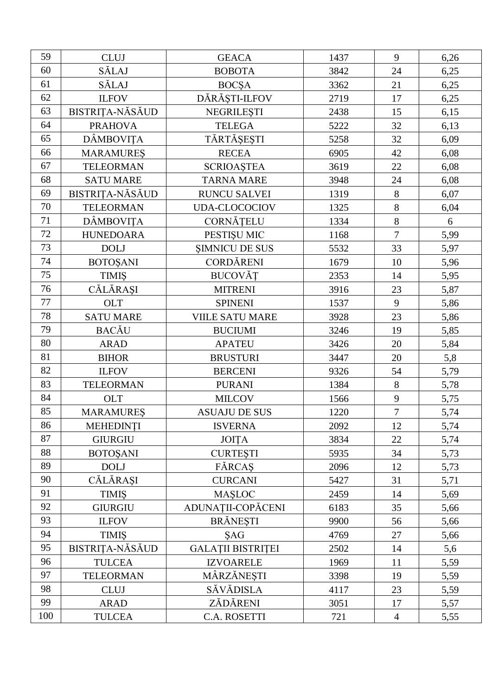| 59  | <b>CLUJ</b>            | <b>GEACA</b>             | 1437 | 9              | 6,26 |
|-----|------------------------|--------------------------|------|----------------|------|
| 60  | SĂLAJ                  | <b>BOBOTA</b>            | 3842 | 24             | 6,25 |
| 61  | SĂLAJ                  | <b>BOCSA</b>             | 3362 | 21             | 6,25 |
| 62  | <b>ILFOV</b>           | DĂRĂȘTI-ILFOV            | 2719 | 17             | 6,25 |
| 63  | BISTRIȚA-NĂSĂUD        | NEGRILEȘTI               | 2438 | 15             | 6,15 |
| 64  | <b>PRAHOVA</b>         | <b>TELEGA</b>            | 5222 | 32             | 6,13 |
| 65  | <b>DÂMBOVIȚA</b>       | TĂRTĂȘEȘTI               | 5258 | 32             | 6,09 |
| 66  | <b>MARAMURES</b>       | <b>RECEA</b>             | 6905 | 42             | 6,08 |
| 67  | <b>TELEORMAN</b>       | <b>SCRIOAȘTEA</b>        | 3619 | 22             | 6,08 |
| 68  | <b>SATU MARE</b>       | <b>TARNA MARE</b>        | 3948 | 24             | 6,08 |
| 69  | BISTRIȚA-NĂSĂUD        | <b>RUNCU SALVEI</b>      | 1319 | $8\,$          | 6,07 |
| 70  | <b>TELEORMAN</b>       | <b>UDA-CLOCOCIOV</b>     | 1325 | $8\,$          | 6,04 |
| 71  | <b>DÂMBOVIȚA</b>       | CORNĂȚELU                | 1334 | $\,8\,$        | 6    |
| 72  | <b>HUNEDOARA</b>       | PESTISU MIC              | 1168 | $\overline{7}$ | 5,99 |
| 73  | <b>DOLJ</b>            | <b>SIMNICU DE SUS</b>    | 5532 | 33             | 5,97 |
| 74  | <b>BOTOŞANI</b>        | <b>CORDĂRENI</b>         | 1679 | 10             | 5,96 |
| 75  | <b>TIMIS</b>           | <b>BUCOVĂȚ</b>           | 2353 | 14             | 5,95 |
| 76  | CĂLĂRAȘI               | <b>MITRENI</b>           | 3916 | 23             | 5,87 |
| 77  | <b>OLT</b>             | <b>SPINENI</b>           | 1537 | 9              | 5,86 |
| 78  | <b>SATU MARE</b>       | <b>VIILE SATU MARE</b>   | 3928 | 23             | 5,86 |
| 79  | <b>BACĂU</b>           | <b>BUCIUMI</b>           | 3246 | 19             | 5,85 |
| 80  | <b>ARAD</b>            | <b>APATEU</b>            | 3426 | 20             | 5,84 |
| 81  | <b>BIHOR</b>           | <b>BRUSTURI</b>          | 3447 | 20             | 5,8  |
| 82  | <b>ILFOV</b>           | <b>BERCENI</b>           | 9326 | 54             | 5,79 |
| 83  | <b>TELEORMAN</b>       | <b>PURANI</b>            | 1384 | $8\,$          | 5,78 |
| 84  | <b>OLT</b>             | <b>MILCOV</b>            | 1566 | 9              | 5,75 |
| 85  | <b>MARAMURES</b>       | <b>ASUAJU DE SUS</b>     | 1220 | $\overline{7}$ | 5,74 |
| 86  | MEHEDINȚI              | <b>ISVERNA</b>           | 2092 | 12             | 5,74 |
| 87  | <b>GIURGIU</b>         | JOITA                    | 3834 | 22             | 5,74 |
| 88  | <b>BOTOŞANI</b>        | <b>CURTEȘTI</b>          | 5935 | 34             | 5,73 |
| 89  | <b>DOLJ</b>            | FĂRCAŞ                   | 2096 | 12             | 5,73 |
| 90  | CĂLĂRAȘI               | <b>CURCANI</b>           | 5427 | 31             | 5,71 |
| 91  | <b>TIMIS</b>           | MAŞLOC                   | 2459 | 14             | 5,69 |
| 92  | <b>GIURGIU</b>         | ADUNAȚII-COPĂCENI        | 6183 | 35             | 5,66 |
| 93  | <b>ILFOV</b>           | <b>BRĂNEȘTI</b>          | 9900 | 56             | 5,66 |
| 94  | <b>TIMIŞ</b>           | <b>SAG</b>               | 4769 | 27             | 5,66 |
| 95  | <b>BISTRIȚA-NĂSĂUD</b> | <b>GALATII BISTRITEI</b> | 2502 | 14             | 5,6  |
| 96  | <b>TULCEA</b>          | <b>IZVOARELE</b>         | 1969 | 11             | 5,59 |
| 97  | <b>TELEORMAN</b>       | MÂRZĂNEȘTI               | 3398 | 19             | 5,59 |
| 98  | <b>CLUJ</b>            | SĂVĂDISLA                | 4117 | 23             | 5,59 |
| 99  | <b>ARAD</b>            | ZĂDĂRENI                 | 3051 | 17             | 5,57 |
| 100 | <b>TULCEA</b>          | C.A. ROSETTI             | 721  | $\overline{4}$ | 5,55 |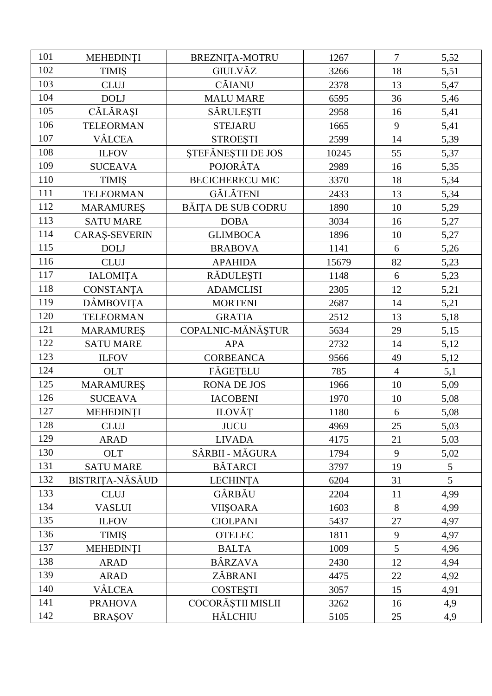| 101 | <b>MEHEDINTI</b>     | BREZNIȚA-MOTRU            | 1267  | $\overline{7}$ | 5,52            |
|-----|----------------------|---------------------------|-------|----------------|-----------------|
| 102 | <b>TIMIS</b>         | <b>GIULVĂZ</b>            | 3266  | 18             | 5,51            |
| 103 | <b>CLUJ</b>          | CĂIANU                    | 2378  | 13             | 5,47            |
| 104 | <b>DOLJ</b>          | <b>MALU MARE</b>          | 6595  | 36             | 5,46            |
| 105 | CĂLĂRAȘI             | SĂRULEȘTI                 | 2958  | 16             | 5,41            |
| 106 | <b>TELEORMAN</b>     | <b>STEJARU</b>            | 1665  | 9              | 5,41            |
| 107 | VÂLCEA               | <b>STROESTI</b>           | 2599  | 14             | 5,39            |
| 108 | <b>ILFOV</b>         | ȘTEFĂNEȘTII DE JOS        | 10245 | 55             | 5,37            |
| 109 | <b>SUCEAVA</b>       | POJORÂTA                  | 2989  | 16             | 5,35            |
| 110 | <b>TIMIS</b>         | <b>BECICHERECU MIC</b>    | 3370  | 18             | 5,34            |
| 111 | <b>TELEORMAN</b>     | <b>GĂLĂTENI</b>           | 2433  | 13             | 5,34            |
| 112 | <b>MARAMURES</b>     | <b>BĂIȚA DE SUB CODRU</b> | 1890  | 10             | 5,29            |
| 113 | <b>SATU MARE</b>     | <b>DOBA</b>               | 3034  | 16             | 5,27            |
| 114 | <b>CARAŞ-SEVERIN</b> | <b>GLIMBOCA</b>           | 1896  | 10             | 5,27            |
| 115 | <b>DOLJ</b>          | <b>BRABOVA</b>            | 1141  | 6              | 5,26            |
| 116 | <b>CLUJ</b>          | <b>APAHIDA</b>            | 15679 | 82             | 5,23            |
| 117 | <b>IALOMITA</b>      | RĂDULEȘTI                 | 1148  | 6              | 5,23            |
| 118 | CONSTANȚA            | <b>ADAMCLISI</b>          | 2305  | 12             | 5,21            |
| 119 | DÂMBOVIȚA            | <b>MORTENI</b>            | 2687  | 14             | 5,21            |
| 120 | <b>TELEORMAN</b>     | <b>GRATIA</b>             | 2512  | 13             | 5,18            |
| 121 | <b>MARAMURES</b>     | COPALNIC-MĂNĂȘTUR         | 5634  | 29             | 5,15            |
| 122 | <b>SATU MARE</b>     | <b>APA</b>                | 2732  | 14             | 5,12            |
| 123 | <b>ILFOV</b>         | <b>CORBEANCA</b>          | 9566  | 49             | 5,12            |
| 124 | <b>OLT</b>           | FĂGETELU                  | 785   | $\overline{4}$ | 5,1             |
| 125 | <b>MARAMUREŞ</b>     | <b>RONA DE JOS</b>        | 1966  | 10             | 5,09            |
| 126 | <b>SUCEAVA</b>       | <b>IACOBENI</b>           | 1970  | 10             | 5,08            |
| 127 | <b>MEHEDINȚI</b>     | <b>ILOVĂȚ</b>             | 1180  | $6\,$          | 5,08            |
| 128 | <b>CLUJ</b>          | <b>JUCU</b>               | 4969  | 25             | 5,03            |
| 129 | <b>ARAD</b>          | <b>LIVADA</b>             | 4175  | 21             | 5,03            |
| 130 | <b>OLT</b>           | SÂRBII - MĂGURA           | 1794  | 9              | 5,02            |
| 131 | <b>SATU MARE</b>     | <b>BÅTARCI</b>            | 3797  | 19             | 5               |
| 132 | BISTRIȚA-NĂSĂUD      | <b>LECHINTA</b>           | 6204  | 31             | $5\overline{)}$ |
| 133 | <b>CLUJ</b>          | GÂRBĂU                    | 2204  | 11             | 4,99            |
| 134 | <b>VASLUI</b>        | <b>VIIŞOARA</b>           | 1603  | 8              | 4,99            |
| 135 | <b>ILFOV</b>         | <b>CIOLPANI</b>           | 5437  | 27             | 4,97            |
| 136 | <b>TIMIŞ</b>         | <b>OTELEC</b>             | 1811  | 9              | 4,97            |
| 137 | <b>MEHEDINTI</b>     | <b>BALTA</b>              | 1009  | 5              | 4,96            |
| 138 | <b>ARAD</b>          | <b>BÂRZAVA</b>            | 2430  | 12             | 4,94            |
| 139 | ARAD                 | ZĂBRANI                   | 4475  | 22             | 4,92            |
| 140 | VÂLCEA               | <b>COSTESTI</b>           | 3057  | 15             | 4,91            |
| 141 | <b>PRAHOVA</b>       | COCORĂȘTII MISLII         | 3262  | 16             | 4,9             |
| 142 | <b>BRAŞOV</b>        | <b>HĂLCHIU</b>            | 5105  | 25             | 4,9             |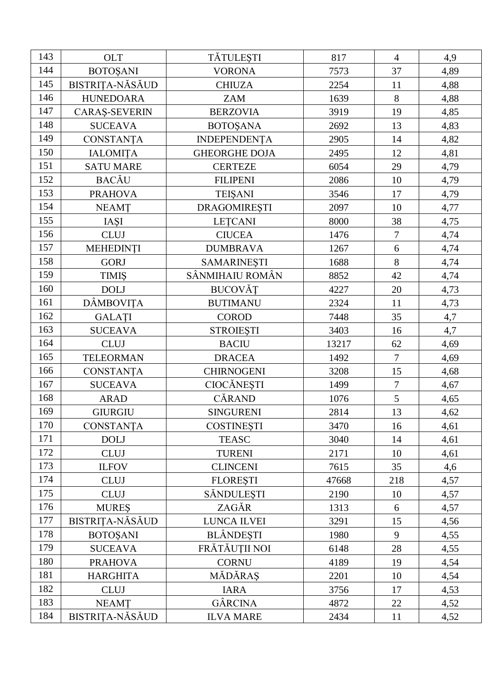| 143 | <b>OLT</b>           | TĂTULEȘTI            | 817   | $\overline{4}$ | 4,9  |
|-----|----------------------|----------------------|-------|----------------|------|
| 144 | <b>BOTOŞANI</b>      | <b>VORONA</b>        | 7573  | 37             | 4,89 |
| 145 | BISTRIȚA-NĂSĂUD      | <b>CHIUZA</b>        | 2254  | 11             | 4,88 |
| 146 | <b>HUNEDOARA</b>     | <b>ZAM</b>           | 1639  | $8\,$          | 4,88 |
| 147 | <b>CARAŞ-SEVERIN</b> | <b>BERZOVIA</b>      | 3919  | 19             | 4,85 |
| 148 | <b>SUCEAVA</b>       | <b>BOTOŞANA</b>      | 2692  | 13             | 4,83 |
| 149 | <b>CONSTANTA</b>     | <b>INDEPENDENTA</b>  | 2905  | 14             | 4,82 |
| 150 | <b>IALOMITA</b>      | <b>GHEORGHE DOJA</b> | 2495  | 12             | 4,81 |
| 151 | <b>SATU MARE</b>     | <b>CERTEZE</b>       | 6054  | 29             | 4,79 |
| 152 | <b>BACĂU</b>         | <b>FILIPENI</b>      | 2086  | 10             | 4,79 |
| 153 | <b>PRAHOVA</b>       | <b>TEIŞANI</b>       | 3546  | 17             | 4,79 |
| 154 | <b>NEAMT</b>         | <b>DRAGOMIREȘTI</b>  | 2097  | 10             | 4,77 |
| 155 | IAȘI                 | <b>LETCANI</b>       | 8000  | 38             | 4,75 |
| 156 | <b>CLUJ</b>          | <b>CIUCEA</b>        | 1476  | $\overline{7}$ | 4,74 |
| 157 | <b>MEHEDINȚI</b>     | <b>DUMBRAVA</b>      | 1267  | $6\,$          | 4,74 |
| 158 | <b>GORJ</b>          | SAMARINEȘTI          | 1688  | 8              | 4,74 |
| 159 | <b>TIMIS</b>         | SÂNMIHAIU ROMÂN      | 8852  | 42             | 4,74 |
| 160 | <b>DOLJ</b>          | <b>BUCOVĂȚ</b>       | 4227  | 20             | 4,73 |
| 161 | DÂMBOVIȚA            | <b>BUTIMANU</b>      | 2324  | 11             | 4,73 |
| 162 | <b>GALATI</b>        | <b>COROD</b>         | 7448  | 35             | 4,7  |
| 163 | <b>SUCEAVA</b>       | <b>STROIESTI</b>     | 3403  | 16             | 4,7  |
| 164 | <b>CLUJ</b>          | <b>BACIU</b>         | 13217 | 62             | 4,69 |
| 165 | <b>TELEORMAN</b>     | <b>DRACEA</b>        | 1492  | $\overline{7}$ | 4,69 |
| 166 | CONSTANȚA            | <b>CHIRNOGENI</b>    | 3208  | 15             | 4,68 |
| 167 | <b>SUCEAVA</b>       | CIOCĂNEȘTI           | 1499  | $\overline{7}$ | 4,67 |
| 168 | <b>ARAD</b>          | CĂRAND               | 1076  | 5              | 4,65 |
| 169 | <b>GIURGIU</b>       | <b>SINGURENI</b>     | 2814  | 13             | 4,62 |
| 170 | <b>CONSTANTA</b>     | <b>COSTINEȘTI</b>    | 3470  | 16             | 4,61 |
| 171 | <b>DOLJ</b>          | <b>TEASC</b>         | 3040  | 14             | 4,61 |
| 172 | <b>CLUJ</b>          | <b>TURENI</b>        | 2171  | 10             | 4,61 |
| 173 | <b>ILFOV</b>         | <b>CLINCENI</b>      | 7615  | 35             | 4,6  |
| 174 | <b>CLUJ</b>          | <b>FLORESTI</b>      | 47668 | 218            | 4,57 |
| 175 | <b>CLUJ</b>          | SĂNDULEȘTI           | 2190  | 10             | 4,57 |
| 176 | <b>MURES</b>         | ZAGĂR                | 1313  | 6              | 4,57 |
| 177 | BISTRIȚA-NĂSĂUD      | LUNCA ILVEI          | 3291  | 15             | 4,56 |
| 178 | <b>BOTOŞANI</b>      | <b>BLÂNDESTI</b>     | 1980  | 9              | 4,55 |
| 179 | <b>SUCEAVA</b>       | FRĂTĂUȚII NOI        | 6148  | 28             | 4,55 |
| 180 | <b>PRAHOVA</b>       | <b>CORNU</b>         | 4189  | 19             | 4,54 |
| 181 | <b>HARGHITA</b>      | MĂDĂRAȘ              | 2201  | 10             | 4,54 |
| 182 | <b>CLUJ</b>          | <b>IARA</b>          | 3756  | 17             | 4,53 |
| 183 | <b>NEAMT</b>         | GÂRCINA              | 4872  | 22             | 4,52 |
| 184 | BISTRIȚA-NĂSĂUD      | <b>ILVA MARE</b>     | 2434  | 11             | 4,52 |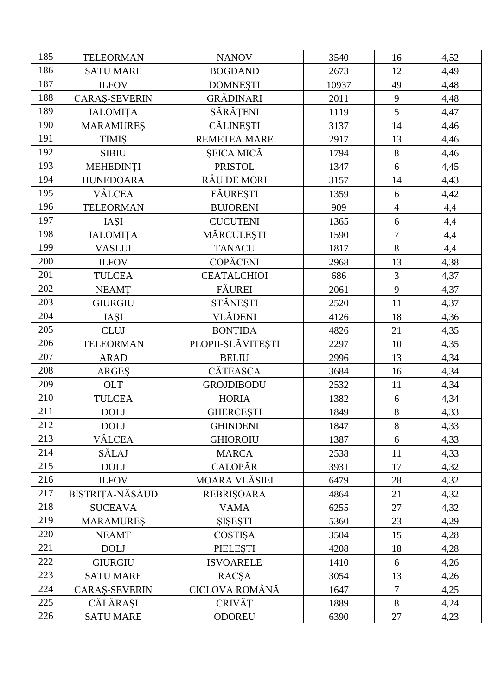| 185 | <b>TELEORMAN</b>     | <b>NANOV</b>        | 3540  | 16             | 4,52 |
|-----|----------------------|---------------------|-------|----------------|------|
| 186 | <b>SATU MARE</b>     | <b>BOGDAND</b>      | 2673  | 12             | 4,49 |
| 187 | <b>ILFOV</b>         | <b>DOMNEŞTI</b>     | 10937 | 49             | 4,48 |
| 188 | <b>CARAŞ-SEVERIN</b> | <b>GRĂDINARI</b>    | 2011  | $\overline{9}$ | 4,48 |
| 189 | <b>IALOMITA</b>      | SĂRĂȚENI            | 1119  | 5              | 4,47 |
| 190 | <b>MARAMUREŞ</b>     | CĂLINEȘTI           | 3137  | 14             | 4,46 |
| 191 | <b>TIMIS</b>         | <b>REMETEA MARE</b> | 2917  | 13             | 4,46 |
| 192 | <b>SIBIU</b>         | ŞEICA MICĂ          | 1794  | 8              | 4,46 |
| 193 | <b>MEHEDINȚI</b>     | <b>PRISTOL</b>      | 1347  | 6              | 4,45 |
| 194 | <b>HUNEDOARA</b>     | RÂU DE MORI         | 3157  | 14             | 4,43 |
| 195 | VÂLCEA               | FĂUREȘTI            | 1359  | 6              | 4,42 |
| 196 | <b>TELEORMAN</b>     | <b>BUJORENI</b>     | 909   | $\overline{4}$ | 4,4  |
| 197 | IAȘI                 | <b>CUCUTENI</b>     | 1365  | 6              | 4,4  |
| 198 | <b>IALOMITA</b>      | MĂRCULEȘTI          | 1590  | $\overline{7}$ | 4,4  |
| 199 | <b>VASLUI</b>        | <b>TANACU</b>       | 1817  | 8              | 4,4  |
| 200 | <b>ILFOV</b>         | COPĂCENI            | 2968  | 13             | 4,38 |
| 201 | <b>TULCEA</b>        | <b>CEATALCHIOI</b>  | 686   | $\overline{3}$ | 4,37 |
| 202 | <b>NEAMT</b>         | FĂUREI              | 2061  | 9              | 4,37 |
| 203 | <b>GIURGIU</b>       | <b>STÅNESTI</b>     | 2520  | 11             | 4,37 |
| 204 | IAȘI                 | <b>VLĂDENI</b>      | 4126  | 18             | 4,36 |
| 205 | <b>CLUJ</b>          | <b>BONTIDA</b>      | 4826  | 21             | 4,35 |
| 206 | <b>TELEORMAN</b>     | PLOPII-SLĂVITEȘTI   | 2297  | 10             | 4,35 |
| 207 | <b>ARAD</b>          | <b>BELIU</b>        | 2996  | 13             | 4,34 |
| 208 | ARGEŞ                | CĂTEASCA            | 3684  | 16             | 4,34 |
| 209 | <b>OLT</b>           | <b>GROJDIBODU</b>   | 2532  | 11             | 4,34 |
| 210 | <b>TULCEA</b>        | <b>HORIA</b>        | 1382  | 6              | 4,34 |
| 211 | <b>DOLJ</b>          | <b>GHERCESTI</b>    | 1849  | $8\,$          | 4,33 |
| 212 | <b>DOLJ</b>          | <b>GHINDENI</b>     | 1847  | 8              | 4,33 |
| 213 | VÂLCEA               | <b>GHIOROIU</b>     | 1387  | 6              | 4,33 |
| 214 | SĂLAJ                | <b>MARCA</b>        | 2538  | 11             | 4,33 |
| 215 | <b>DOLJ</b>          | CALOPĂR             | 3931  | 17             | 4,32 |
| 216 | <b>ILFOV</b>         | MOARA VLĂSIEI       | 6479  | 28             | 4,32 |
| 217 | BISTRIȚA-NĂSĂUD      | <b>REBRIŞOARA</b>   | 4864  | 21             | 4,32 |
| 218 | <b>SUCEAVA</b>       | <b>VAMA</b>         | 6255  | 27             | 4,32 |
| 219 | <b>MARAMUREŞ</b>     | <b>SISESTI</b>      | 5360  | 23             | 4,29 |
| 220 | <b>NEAMT</b>         | COSTIŞA             | 3504  | 15             | 4,28 |
| 221 | <b>DOLJ</b>          | PIELEȘTI            | 4208  | 18             | 4,28 |
| 222 | <b>GIURGIU</b>       | <b>ISVOARELE</b>    | 1410  | 6              | 4,26 |
| 223 | <b>SATU MARE</b>     | <b>RACŞA</b>        | 3054  | 13             | 4,26 |
| 224 | <b>CARAŞ-SEVERIN</b> | CICLOVA ROMÂNĂ      | 1647  | $\overline{7}$ | 4,25 |
| 225 | CĂLĂRAȘI             | CRIVĂȚ              | 1889  | 8              | 4,24 |
| 226 | <b>SATU MARE</b>     | <b>ODOREU</b>       | 6390  | 27             | 4,23 |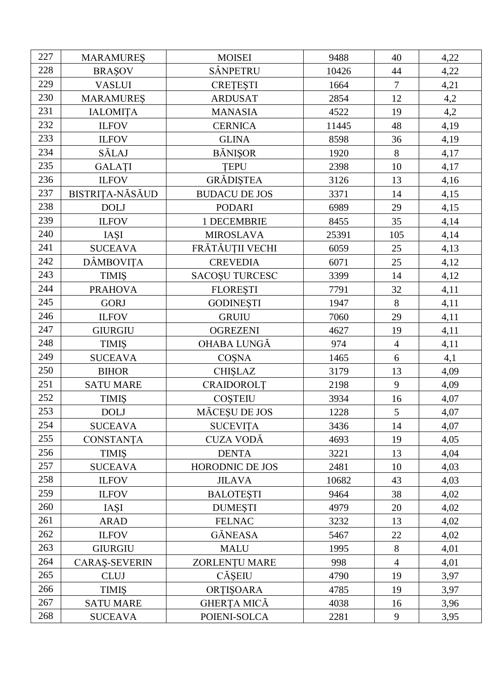| 227 | <b>MARAMURES</b>     | <b>MOISEI</b>          | 9488  | 40             | 4,22 |
|-----|----------------------|------------------------|-------|----------------|------|
| 228 | <b>BRAŞOV</b>        | <b>SÂNPETRU</b>        | 10426 | 44             | 4,22 |
| 229 | <b>VASLUI</b>        | <b>CRETESTI</b>        | 1664  | $\overline{7}$ | 4,21 |
| 230 | <b>MARAMURES</b>     | <b>ARDUSAT</b>         | 2854  | 12             | 4,2  |
| 231 | <b>IALOMITA</b>      | <b>MANASIA</b>         | 4522  | 19             | 4,2  |
| 232 | <b>ILFOV</b>         | <b>CERNICA</b>         | 11445 | 48             | 4,19 |
| 233 | <b>ILFOV</b>         | <b>GLINA</b>           | 8598  | 36             | 4,19 |
| 234 | SĂLAJ                | <b>BĂNIŞOR</b>         | 1920  | 8              | 4,17 |
| 235 | GALAȚI               | <b>TEPU</b>            | 2398  | 10             | 4,17 |
| 236 | <b>ILFOV</b>         | <b>GRĂDIȘTEA</b>       | 3126  | 13             | 4,16 |
| 237 | BISTRIȚA-NĂSĂUD      | <b>BUDACU DE JOS</b>   | 3371  | 14             | 4,15 |
| 238 | <b>DOLJ</b>          | <b>PODARI</b>          | 6989  | 29             | 4,15 |
| 239 | <b>ILFOV</b>         | 1 DECEMBRIE            | 8455  | 35             | 4,14 |
| 240 | <b>IASI</b>          | <b>MIROSLAVA</b>       | 25391 | 105            | 4,14 |
| 241 | <b>SUCEAVA</b>       | FRĂTĂUȚII VECHI        | 6059  | 25             | 4,13 |
| 242 | DÂMBOVIȚA            | <b>CREVEDIA</b>        | 6071  | 25             | 4,12 |
| 243 | <b>TIMIS</b>         | <b>SACOȘU TURCESC</b>  | 3399  | 14             | 4,12 |
| 244 | <b>PRAHOVA</b>       | <b>FLORESTI</b>        | 7791  | 32             | 4,11 |
| 245 | <b>GORJ</b>          | <b>GODINESTI</b>       | 1947  | 8              | 4,11 |
| 246 | <b>ILFOV</b>         | <b>GRUIU</b>           | 7060  | 29             | 4,11 |
| 247 | <b>GIURGIU</b>       | <b>OGREZENI</b>        | 4627  | 19             | 4,11 |
| 248 | <b>TIMIS</b>         | OHABA LUNGĂ            | 974   | $\overline{4}$ | 4,11 |
| 249 | <b>SUCEAVA</b>       | COŞNA                  | 1465  | 6              | 4,1  |
| 250 | <b>BIHOR</b>         | <b>CHIŞLAZ</b>         | 3179  | 13             | 4,09 |
| 251 | <b>SATU MARE</b>     | CRAIDOROLT             | 2198  | 9              | 4,09 |
| 252 | <b>TIMIS</b>         | <b>COSTEIU</b>         | 3934  | 16             | 4,07 |
| 253 | <b>DOLJ</b>          | MĂCESU DE JOS          | 1228  | 5              | 4,07 |
| 254 | <b>SUCEAVA</b>       | <b>SUCEVITA</b>        | 3436  | 14             | 4,07 |
| 255 | <b>CONSTANTA</b>     | CUZA VODĂ              | 4693  | 19             | 4,05 |
| 256 | <b>TIMIS</b>         | <b>DENTA</b>           | 3221  | 13             | 4,04 |
| 257 | <b>SUCEAVA</b>       | <b>HORODNIC DE JOS</b> | 2481  | 10             | 4,03 |
| 258 | <b>ILFOV</b>         | <b>JILAVA</b>          | 10682 | 43             | 4,03 |
| 259 | <b>ILFOV</b>         | <b>BALOTESTI</b>       | 9464  | 38             | 4,02 |
| 260 | <b>IASI</b>          | <b>DUMESTI</b>         | 4979  | 20             | 4,02 |
| 261 | <b>ARAD</b>          | <b>FELNAC</b>          | 3232  | 13             | 4,02 |
| 262 | <b>ILFOV</b>         | <b>GĂNEASA</b>         | 5467  | 22             | 4,02 |
| 263 | <b>GIURGIU</b>       | <b>MALU</b>            | 1995  | $8\,$          | 4,01 |
| 264 | <b>CARAŞ-SEVERIN</b> | ZORLENȚU MARE          | 998   | $\overline{4}$ | 4,01 |
| 265 | <b>CLUJ</b>          | CĂȘEIU                 | 4790  | 19             | 3,97 |
| 266 | <b>TIMIS</b>         | ORTIŞOARA              | 4785  | 19             | 3,97 |
| 267 | <b>SATU MARE</b>     | GHERȚA MICĂ            | 4038  | 16             | 3,96 |
| 268 | <b>SUCEAVA</b>       | POIENI-SOLCA           | 2281  | 9              | 3,95 |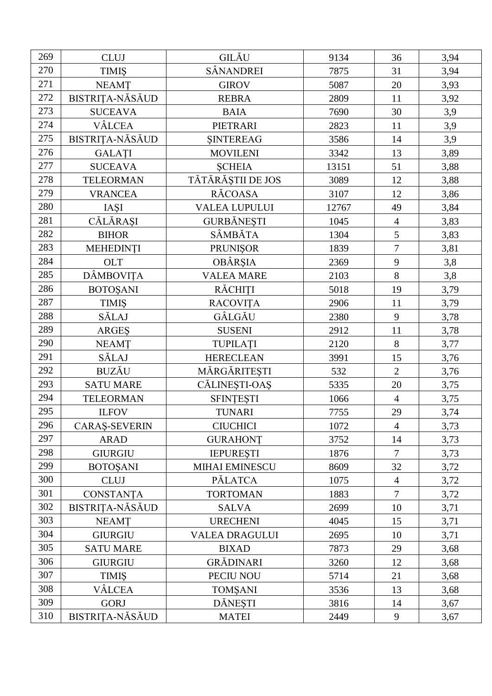| 269 | <b>CLUJ</b>            | GILĂU                 | 9134  | 36               | 3,94 |
|-----|------------------------|-----------------------|-------|------------------|------|
| 270 | <b>TIMIS</b>           | SÂNANDREI             | 7875  | 31               | 3,94 |
| 271 | <b>NEAMT</b>           | <b>GIROV</b>          | 5087  | 20               | 3,93 |
| 272 | BISTRIȚA-NĂSĂUD        | <b>REBRA</b>          | 2809  | 11               | 3,92 |
| 273 | <b>SUCEAVA</b>         | <b>BAIA</b>           | 7690  | 30               | 3,9  |
| 274 | VÂLCEA                 | PIETRARI              | 2823  | 11               | 3,9  |
| 275 | BISTRIȚA-NĂSĂUD        | <b>SINTEREAG</b>      | 3586  | 14               | 3,9  |
| 276 | <b>GALATI</b>          | <b>MOVILENI</b>       | 3342  | 13               | 3,89 |
| 277 | <b>SUCEAVA</b>         | <b>SCHEIA</b>         | 13151 | 51               | 3,88 |
| 278 | <b>TELEORMAN</b>       | TĂTĂRĂȘTII DE JOS     | 3089  | 12               | 3,88 |
| 279 | <b>VRANCEA</b>         | <b>RĂCOASA</b>        | 3107  | 12               | 3,86 |
| 280 | IAȘI                   | <b>VALEA LUPULUI</b>  | 12767 | 49               | 3,84 |
| 281 | CĂLĂRAȘI               | <b>GURBĂNEȘTI</b>     | 1045  | $\overline{4}$   | 3,83 |
| 282 | <b>BIHOR</b>           | SÂMBĂTA               | 1304  | 5                | 3,83 |
| 283 | <b>MEHEDINȚI</b>       | <b>PRUNISOR</b>       | 1839  | $\overline{7}$   | 3,81 |
| 284 | <b>OLT</b>             | OBÂRȘIA               | 2369  | 9                | 3,8  |
| 285 | <b>DÂMBOVIȚA</b>       | <b>VALEA MARE</b>     | 2103  | 8                | 3,8  |
| 286 | <b>BOTOŞANI</b>        | RĂCHIȚI               | 5018  | 19               | 3,79 |
| 287 | <b>TIMIŞ</b>           | <b>RACOVITA</b>       | 2906  | 11               | 3,79 |
| 288 | $\tilde{\text{SALAJ}}$ | GÂLGĂU                | 2380  | 9                | 3,78 |
| 289 | <b>ARGES</b>           | <b>SUSENI</b>         | 2912  | 11               | 3,78 |
| 290 | <b>NEAMT</b>           | TUPILAȚI              | 2120  | $8\,$            | 3,77 |
| 291 | SĂLAJ                  | <b>HERECLEAN</b>      | 3991  | 15               | 3,76 |
| 292 | <b>BUZĂU</b>           | MĂRGĂRITEȘTI          | 532   | $\overline{2}$   | 3,76 |
| 293 | <b>SATU MARE</b>       | CĂLINEȘTI-OAȘ         | 5335  | 20               | 3,75 |
| 294 | <b>TELEORMAN</b>       | <b>SFINTESTI</b>      | 1066  | $\overline{4}$   | 3,75 |
| 295 | <b>ILFOV</b>           | <b>TUNARI</b>         | 7755  | 29               | 3,74 |
| 296 | <b>CARAŞ-SEVERIN</b>   | <b>CIUCHICI</b>       | 1072  | $\overline{4}$   | 3,73 |
| 297 | <b>ARAD</b>            | <b>GURAHONT</b>       | 3752  | 14               | 3,73 |
| 298 | <b>GIURGIU</b>         | <b>IEPURESTI</b>      | 1876  | $\overline{7}$   | 3,73 |
| 299 | <b>BOTOŞANI</b>        | <b>MIHAI EMINESCU</b> | 8609  | 32               | 3,72 |
| 300 | <b>CLUJ</b>            | PĂLATCA               | 1075  | $\overline{4}$   | 3,72 |
| 301 | <b>CONSTANTA</b>       | <b>TORTOMAN</b>       | 1883  | $\overline{7}$   | 3,72 |
| 302 | BISTRIȚA-NĂSĂUD        | <b>SALVA</b>          | 2699  | 10               | 3,71 |
| 303 | <b>NEAMT</b>           | <b>URECHENI</b>       | 4045  | 15               | 3,71 |
| 304 | <b>GIURGIU</b>         | <b>VALEA DRAGULUI</b> | 2695  | 10               | 3,71 |
| 305 | <b>SATU MARE</b>       | <b>BIXAD</b>          | 7873  | 29               | 3,68 |
| 306 | <b>GIURGIU</b>         | GRĂDINARI             | 3260  | 12               | 3,68 |
| 307 | <b>TIMIS</b>           | PECIU NOU             | 5714  | 21               | 3,68 |
| 308 | VÂLCEA                 | <b>TOMŞANI</b>        | 3536  | 13               | 3,68 |
| 309 | <b>GORJ</b>            | DĂNEȘTI               | 3816  | 14               | 3,67 |
| 310 | BISTRIȚA-NĂSĂUD        | <b>MATEI</b>          | 2449  | $\boldsymbol{9}$ | 3,67 |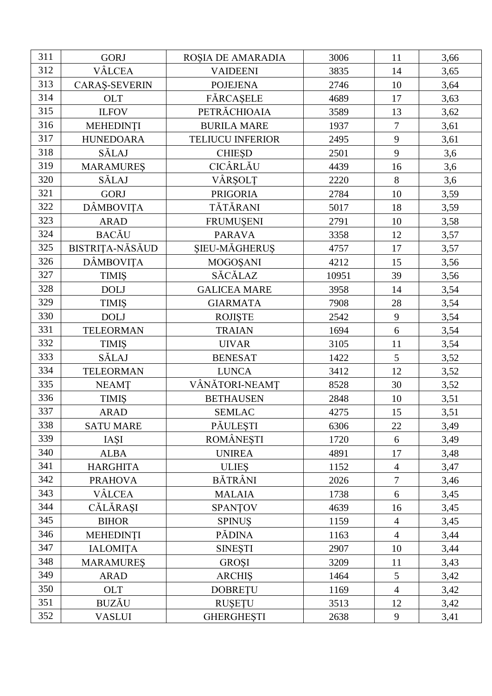| 311 | <b>GORJ</b>          | ROȘIA DE AMARADIA       | 3006  | 11             | 3,66 |
|-----|----------------------|-------------------------|-------|----------------|------|
| 312 | VÂLCEA               | <b>VAIDEENI</b>         | 3835  | 14             | 3,65 |
| 313 | <b>CARAŞ-SEVERIN</b> | <b>POJEJENA</b>         | 2746  | 10             | 3,64 |
| 314 | <b>OLT</b>           | FÅRCAŞELE               | 4689  | 17             | 3,63 |
| 315 | <b>ILFOV</b>         | PETRĂCHIOAIA            | 3589  | 13             | 3,62 |
| 316 | MEHEDINȚI            | <b>BURILA MARE</b>      | 1937  | $\overline{7}$ | 3,61 |
| 317 | <b>HUNEDOARA</b>     | <b>TELIUCU INFERIOR</b> | 2495  | 9              | 3,61 |
| 318 | SĂLAJ                | <b>CHIESD</b>           | 2501  | 9              | 3,6  |
| 319 | <b>MARAMURES</b>     | CICÂRLĂU                | 4439  | 16             | 3,6  |
| 320 | SĂLAJ                | VÂRȘOLȚ                 | 2220  | 8              | 3,6  |
| 321 | <b>GORJ</b>          | <b>PRIGORIA</b>         | 2784  | 10             | 3,59 |
| 322 | DÂMBOVIȚA            | TĂTĂRANI                | 5017  | 18             | 3,59 |
| 323 | <b>ARAD</b>          | <b>FRUMUŞENI</b>        | 2791  | 10             | 3,58 |
| 324 | <b>BACĂU</b>         | <b>PARAVA</b>           | 3358  | 12             | 3,57 |
| 325 | BISTRIȚA-NĂSĂUD      | ŞIEU-MĂGHERUŞ           | 4757  | 17             | 3,57 |
| 326 | DÂMBOVIȚA            | MOGOŞANI                | 4212  | 15             | 3,56 |
| 327 | <b>TIMIS</b>         | SĂCĂLAZ                 | 10951 | 39             | 3,56 |
| 328 | <b>DOLJ</b>          | <b>GALICEA MARE</b>     | 3958  | 14             | 3,54 |
| 329 | <b>TIMIS</b>         | <b>GIARMATA</b>         | 7908  | 28             | 3,54 |
| 330 | <b>DOLJ</b>          | <b>ROJIȘTE</b>          | 2542  | $\mathbf{9}$   | 3,54 |
| 331 | <b>TELEORMAN</b>     | <b>TRAIAN</b>           | 1694  | 6              | 3,54 |
| 332 | <b>TIMIS</b>         | <b>UIVAR</b>            | 3105  | 11             | 3,54 |
| 333 | SĂLAJ                | <b>BENESAT</b>          | 1422  | 5              | 3,52 |
| 334 | <b>TELEORMAN</b>     | <b>LUNCA</b>            | 3412  | 12             | 3,52 |
| 335 | <b>NEAMT</b>         | VÂNĂTORI-NEAMȚ          | 8528  | 30             | 3,52 |
| 336 | <b>TIMIS</b>         | <b>BETHAUSEN</b>        | 2848  | 10             | 3,51 |
| 337 | <b>ARAD</b>          | <b>SEMLAC</b>           | 4275  | 15             | 3,51 |
| 338 | <b>SATU MARE</b>     | PĂULESTI                | 6306  | 22             | 3,49 |
| 339 | IAȘI                 | ROMÂNEȘTI               | 1720  | 6              | 3,49 |
| 340 | <b>ALBA</b>          | <b>UNIREA</b>           | 4891  | 17             | 3,48 |
| 341 | <b>HARGHITA</b>      | <b>ULIES</b>            | 1152  | $\overline{4}$ | 3,47 |
| 342 | <b>PRAHOVA</b>       | BĂTRÂNI                 | 2026  | $\overline{7}$ | 3,46 |
| 343 | VÂLCEA               | <b>MALAIA</b>           | 1738  | 6              | 3,45 |
| 344 | CĂLĂRAȘI             | <b>SPANTOV</b>          | 4639  | 16             | 3,45 |
| 345 | <b>BIHOR</b>         | <b>SPINUS</b>           | 1159  | $\overline{4}$ | 3,45 |
| 346 | MEHEDINȚI            | <b>PĂDINA</b>           | 1163  | $\overline{4}$ | 3,44 |
| 347 | <b>IALOMITA</b>      | <b>SINESTI</b>          | 2907  | 10             | 3,44 |
| 348 | <b>MARAMURES</b>     | <b>GROSI</b>            | 3209  | 11             | 3,43 |
| 349 | <b>ARAD</b>          | <b>ARCHIS</b>           | 1464  | 5              | 3,42 |
| 350 | <b>OLT</b>           | <b>DOBRETU</b>          | 1169  | $\overline{4}$ | 3,42 |
| 351 | <b>BUZĂU</b>         | <b>RUSETU</b>           | 3513  | 12             | 3,42 |
| 352 | <b>VASLUI</b>        | <b>GHERGHESTI</b>       | 2638  | 9              | 3,41 |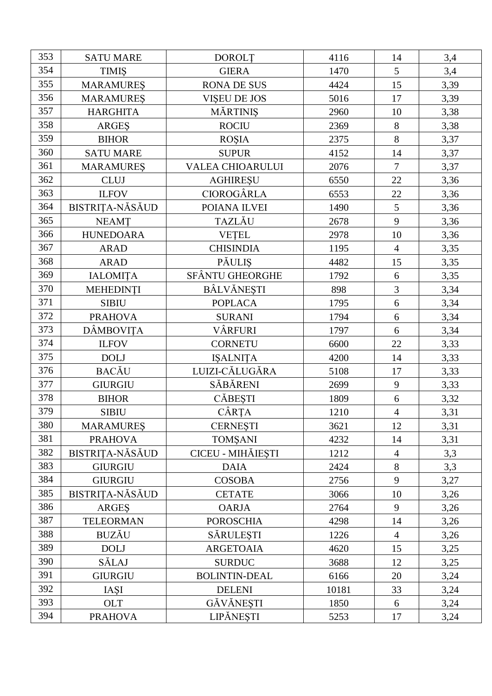| 353 | <b>SATU MARE</b>       | <b>DOROLT</b>           | 4116  | 14             | 3,4  |
|-----|------------------------|-------------------------|-------|----------------|------|
| 354 | <b>TIMIS</b>           | <b>GIERA</b>            | 1470  | 5              | 3,4  |
| 355 | <b>MARAMUREŞ</b>       | <b>RONA DE SUS</b>      | 4424  | 15             | 3,39 |
| 356 | <b>MARAMURES</b>       | <b>VISEU DE JOS</b>     | 5016  | 17             | 3,39 |
| 357 | <b>HARGHITA</b>        | <b>MĂRTINIȘ</b>         | 2960  | 10             | 3,38 |
| 358 | <b>ARGES</b>           | <b>ROCIU</b>            | 2369  | 8              | 3,38 |
| 359 | <b>BIHOR</b>           | <b>ROŞIA</b>            | 2375  | 8              | 3,37 |
| 360 | <b>SATU MARE</b>       | <b>SUPUR</b>            | 4152  | 14             | 3,37 |
| 361 | <b>MARAMURES</b>       | <b>VALEA CHIOARULUI</b> | 2076  | $\overline{7}$ | 3,37 |
| 362 | <b>CLUJ</b>            | <b>AGHIREŞU</b>         | 6550  | 22             | 3,36 |
| 363 | <b>ILFOV</b>           | CIOROGÂRLA              | 6553  | 22             | 3,36 |
| 364 | <b>BISTRIȚA-NĂSĂUD</b> | POIANA ILVEI            | 1490  | 5              | 3,36 |
| 365 | <b>NEAMT</b>           | <b>TAZLĂU</b>           | 2678  | 9              | 3,36 |
| 366 | <b>HUNEDOARA</b>       | <b>VETEL</b>            | 2978  | 10             | 3,36 |
| 367 | <b>ARAD</b>            | <b>CHISINDIA</b>        | 1195  | $\overline{4}$ | 3,35 |
| 368 | <b>ARAD</b>            | PĂULIȘ                  | 4482  | 15             | 3,35 |
| 369 | <b>IALOMITA</b>        | SFÂNTU GHEORGHE         | 1792  | 6              | 3,35 |
| 370 | MEHEDINȚI              | <b>BÂLVĂNEȘTI</b>       | 898   | 3              | 3,34 |
| 371 | <b>SIBIU</b>           | <b>POPLACA</b>          | 1795  | 6              | 3,34 |
| 372 | <b>PRAHOVA</b>         | <b>SURANI</b>           | 1794  | 6              | 3,34 |
| 373 | DÂMBOVIȚA              | VÂRFURI                 | 1797  | 6              | 3,34 |
| 374 | <b>ILFOV</b>           | <b>CORNETU</b>          | 6600  | 22             | 3,33 |
| 375 | <b>DOLJ</b>            | <b>ISALNITA</b>         | 4200  | 14             | 3,33 |
| 376 | <b>BACĂU</b>           | LUIZI-CĂLUGĂRA          | 5108  | 17             | 3,33 |
| 377 | <b>GIURGIU</b>         | SĂBĂRENI                | 2699  | 9              | 3,33 |
| 378 | <b>BIHOR</b>           | CĂBEȘTI                 | 1809  | 6              | 3,32 |
| 379 | <b>SIBIU</b>           | CÂRȚA                   | 1210  | $\overline{4}$ | 3,31 |
| 380 | <b>MARAMUREŞ</b>       | <b>CERNESTI</b>         | 3621  | 12             | 3,31 |
| 381 | <b>PRAHOVA</b>         | <b>TOMŞANI</b>          | 4232  | 14             | 3,31 |
| 382 | BISTRIȚA-NĂSĂUD        | CICEU - MIHĂIEȘTI       | 1212  | $\overline{4}$ | 3,3  |
| 383 | <b>GIURGIU</b>         | <b>DAIA</b>             | 2424  | 8              | 3,3  |
| 384 | <b>GIURGIU</b>         | <b>COSOBA</b>           | 2756  | 9              | 3,27 |
| 385 | BISTRIȚA-NĂSĂUD        | <b>CETATE</b>           | 3066  | 10             | 3,26 |
| 386 | ARGES                  | <b>OARJA</b>            | 2764  | 9              | 3,26 |
| 387 | <b>TELEORMAN</b>       | <b>POROSCHIA</b>        | 4298  | 14             | 3,26 |
| 388 | <b>BUZĂU</b>           | SĂRULESTI               | 1226  | $\overline{4}$ | 3,26 |
| 389 | <b>DOLJ</b>            | <b>ARGETOAIA</b>        | 4620  | 15             | 3,25 |
| 390 | SĂLAJ                  | <b>SURDUC</b>           | 3688  | 12             | 3,25 |
| 391 | <b>GIURGIU</b>         | <b>BOLINTIN-DEAL</b>    | 6166  | 20             | 3,24 |
| 392 | <b>IASI</b>            | <b>DELENI</b>           | 10181 | 33             | 3,24 |
| 393 | <b>OLT</b>             | GĂVĂNEȘTI               | 1850  | 6              | 3,24 |
| 394 | <b>PRAHOVA</b>         | LIPĂNEȘTI               | 5253  | 17             | 3,24 |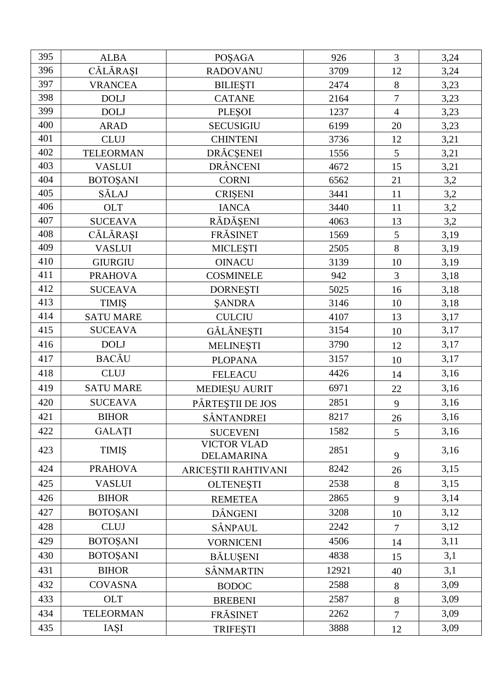| 395 | <b>ALBA</b>      | POŞAGA                                  | 926   | $\overline{3}$ | 3,24 |
|-----|------------------|-----------------------------------------|-------|----------------|------|
| 396 | CĂLĂRAȘI         | <b>RADOVANU</b>                         | 3709  | 12             | 3,24 |
| 397 | <b>VRANCEA</b>   | <b>BILIEȘTI</b>                         | 2474  | $8\,$          | 3,23 |
| 398 | <b>DOLJ</b>      | <b>CATANE</b>                           | 2164  | $\overline{7}$ | 3,23 |
| 399 | <b>DOLJ</b>      | PLEŞOI                                  | 1237  | $\overline{4}$ | 3,23 |
| 400 | <b>ARAD</b>      | <b>SECUSIGIU</b>                        | 6199  | 20             | 3,23 |
| 401 | <b>CLUJ</b>      | <b>CHINTENI</b>                         | 3736  | 12             | 3,21 |
| 402 | <b>TELEORMAN</b> | DRĂCȘENEI                               | 1556  | 5              | 3,21 |
| 403 | <b>VASLUI</b>    | DRÂNCENI                                | 4672  | 15             | 3,21 |
| 404 | <b>BOTOŞANI</b>  | <b>CORNI</b>                            | 6562  | 21             | 3,2  |
| 405 | SĂLAJ            | <b>CRIȘENI</b>                          | 3441  | 11             | 3,2  |
| 406 | <b>OLT</b>       | <b>IANCA</b>                            | 3440  | 11             | 3,2  |
| 407 | <b>SUCEAVA</b>   | RĂDĂȘENI                                | 4063  | 13             | 3,2  |
| 408 | CĂLĂRAȘI         | FRĂSINET                                | 1569  | 5              | 3,19 |
| 409 | <b>VASLUI</b>    | <b>MICLEȘTI</b>                         | 2505  | 8              | 3,19 |
| 410 | <b>GIURGIU</b>   | <b>OINACU</b>                           | 3139  | 10             | 3,19 |
| 411 | <b>PRAHOVA</b>   | <b>COSMINELE</b>                        | 942   | $\overline{3}$ | 3,18 |
| 412 | <b>SUCEAVA</b>   | <b>DORNESTI</b>                         | 5025  | 16             | 3,18 |
| 413 | <b>TIMIS</b>     | <b><i>ŞANDRA</i></b>                    | 3146  | 10             | 3,18 |
| 414 | <b>SATU MARE</b> | <b>CULCIU</b>                           | 4107  | 13             | 3,17 |
| 415 | <b>SUCEAVA</b>   | GĂLĂNEȘTI                               | 3154  | 10             | 3,17 |
| 416 | <b>DOLJ</b>      | <b>MELINEŞTI</b>                        | 3790  | 12             | 3,17 |
| 417 | <b>BACĂU</b>     | <b>PLOPANA</b>                          | 3157  | 10             | 3,17 |
| 418 | <b>CLUJ</b>      | <b>FELEACU</b>                          | 4426  | 14             | 3,16 |
| 419 | <b>SATU MARE</b> | <b>MEDIEȘU AURIT</b>                    | 6971  | 22             | 3,16 |
| 420 | <b>SUCEAVA</b>   | PÂRTEȘTII DE JOS                        | 2851  | 9              | 3,16 |
| 421 | <b>BIHOR</b>     | SÂNTANDREI                              | 8217  | 26             | 3,16 |
| 422 | <b>GALATI</b>    | <b>SUCEVENI</b>                         | 1582  | 5              | 3,16 |
| 423 | <b>TIMIS</b>     | <b>VICTOR VLAD</b><br><b>DELAMARINA</b> | 2851  | 9              | 3,16 |
| 424 | <b>PRAHOVA</b>   | ARICEȘTII RAHTIVANI                     | 8242  | 26             | 3,15 |
| 425 | <b>VASLUI</b>    | <b>OLTENESTI</b>                        | 2538  | 8              | 3,15 |
| 426 | <b>BIHOR</b>     | <b>REMETEA</b>                          | 2865  | 9              | 3,14 |
| 427 | <b>BOTOŞANI</b>  | DÂNGENI                                 | 3208  | 10             | 3,12 |
| 428 | <b>CLUJ</b>      | SÂNPAUL                                 | 2242  | $\overline{7}$ | 3,12 |
| 429 | <b>BOTOŞANI</b>  | <b>VORNICENI</b>                        | 4506  | 14             | 3,11 |
| 430 | <b>BOTOŞANI</b>  | <b>BĂLUȘENI</b>                         | 4838  | 15             | 3,1  |
| 431 | <b>BIHOR</b>     | <b>SÂNMARTIN</b>                        | 12921 | 40             | 3,1  |
| 432 | <b>COVASNA</b>   | <b>BODOC</b>                            | 2588  | 8              | 3,09 |
| 433 | <b>OLT</b>       | <b>BREBENI</b>                          | 2587  | 8              | 3,09 |
| 434 | <b>TELEORMAN</b> | FRÄSINET                                | 2262  | 7              | 3,09 |
| 435 | IAȘI             | <b>TRIFESTI</b>                         | 3888  | 12             | 3,09 |
|     |                  |                                         |       |                |      |